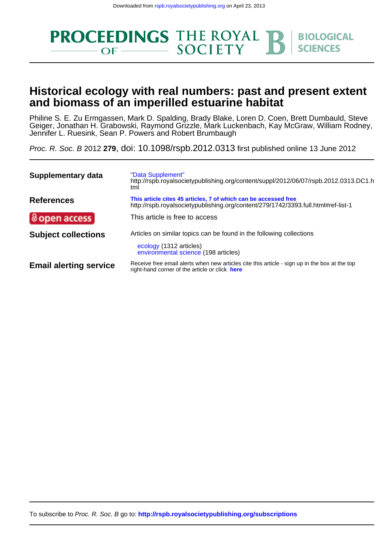# **PROCEEDINGS THE ROYAL BIOLOGICAL SCIENCES**

# **and biomass of an imperilled estuarine habitat Historical ecology with real numbers: past and present extent**

Jennifer L. Ruesink, Sean P. Powers and Robert Brumbaugh Geiger, Jonathan H. Grabowski, Raymond Grizzle, Mark Luckenbach, Kay McGraw, William Rodney, Philine S. E. Zu Ermgassen, Mark D. Spalding, Brady Blake, Loren D. Coen, Brett Dumbauld, Steve

Proc. R. Soc. B 2012 **279**, doi: 10.1098/rspb.2012.0313 first published online 13 June 2012

| Supplementary data            | "Data Supplement"<br>http://rspb.royalsocietypublishing.org/content/suppl/2012/06/07/rspb.2012.0313.DC1.h                                            |
|-------------------------------|------------------------------------------------------------------------------------------------------------------------------------------------------|
|                               | tml                                                                                                                                                  |
| <b>References</b>             | This article cites 45 articles, 7 of which can be accessed free<br>http://rspb.royalsocietypublishing.org/content/279/1742/3393.full.html#ref-list-1 |
| @ open access                 | This article is free to access                                                                                                                       |
| <b>Subject collections</b>    | Articles on similar topics can be found in the following collections                                                                                 |
|                               | ecology (1312 articles)<br>environmental science (198 articles)                                                                                      |
| <b>Email alerting service</b> | Receive free email alerts when new articles cite this article - sign up in the box at the top<br>right-hand corner of the article or click here      |

To subscribe to Proc. R. Soc. B go to: **<http://rspb.royalsocietypublishing.org/subscriptions>**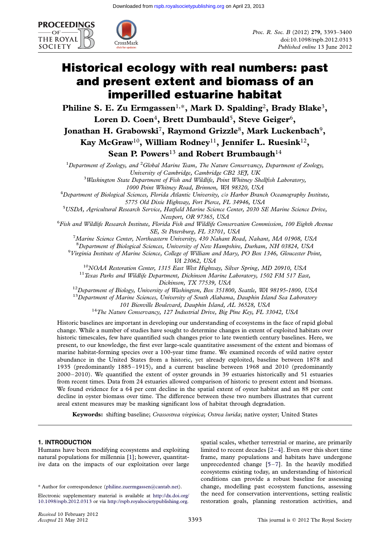



# Historical ecology with real numbers: past and present extent and biomass of an imperilled estuarine habitat

Philine S. E. Zu Ermgassen $^{1,*}$ , Mark D. Spalding<sup>2</sup>, Brady Blake<sup>3</sup>, Loren D. Coen $^4$ , Brett Dumbauld $^5$ , Steve Geiger $^6\!$ , Jonathan H. Grabowski $^7$ , Raymond Grizzle $^8$ , Mark Luckenbach $^9$ , Kay McGraw $^{10}$ , William Rodney $^{11}$ , Jennifer L. Ruesink $^{12}$ , Sean P. Powers<sup>13</sup> and Robert Brumbaugh<sup>14</sup>

<sup>1</sup>Department of Zoology, and <sup>2</sup>Global Marine Team, The Nature Conservancy, Department of Zoology, University of Cambridge, Cambridge CB2 3EJ, UK<br><sup>3</sup>Washington State Department of Fish and Wildlife, Point Whitney Shellfish Laboratory,

1000 Point Whitney Road, Brinnon, WA 98320, USA <sup>4</sup>

<sup>4</sup>Department of Biological Sciences, Florida Atlantic University, c/o Harbor Branch Oceanography Institute,

5775 Old Dixie Highway, Fort Pierce, FL 34946, USA<br><sup>5</sup>USDA, Agricultural Research Service, Hatfield Marine Science Center, 2030 SE Marine Science Drive,

Newport, OR 97365, USA<br><sup>6</sup>Fish and Wildlife Research Institute, Florida Fish and Wildlife Conservation Commission, 100 Eighth Avenue<sup>6</sup>

SE, St Petersburg, FL 33701, USA<br><sup>7</sup>Marine Science Center, Northeastern University, 430 Nahant Road, Nahant, MA 01908, USA

<sup>8</sup>Department of Biological Sciences, University of New Hampshire, Durham, NH 03824, USA<br><sup>9</sup>Virginia Institute of Marine Science, Collage of Welliam and Mary PO Box 1246, Glovesster Bo

 $9$ Virginia Institute of Marine Science, College of William and Mary, PO Box 1346, Gloucester Point,

VA 23062, USA<br><sup>10</sup>NOAA Restoration Center, 1315 East West Highway, Silver Spring, MD 20910, USA<br><sup>11</sup>Texas Parks and Wildlife Department, Dickinson Marine Laboratory, 1502 FM 517 East,

Dickinson, TX 77539, USA<br><sup>12</sup>Department of Biology, University of Washington, Box 351800, Seattle, WA 98195-1800, USA<br><sup>13</sup>Department of Marine Sciences, University of South Alabama, Dauphin Island Sea Laboratory

101 Bienville Boulevard, Dauphin Island, AL 36528, USA <sup>14</sup>The Nature Conservancy, 127 Industrial Drive, Big Pine Key, FL 33042, USA

Historic baselines are important in developing our understanding of ecosystems in the face of rapid global change. While a number of studies have sought to determine changes in extent of exploited habitats over historic timescales, few have quantified such changes prior to late twentieth century baselines. Here, we present, to our knowledge, the first ever large-scale quantitative assessment of the extent and biomass of marine habitat-forming species over a 100-year time frame. We examined records of wild native oyster abundance in the United States from a historic, yet already exploited, baseline between 1878 and 1935 (predominantly 1885 –1915), and a current baseline between 1968 and 2010 (predominantly 2000 –2010). We quantified the extent of oyster grounds in 39 estuaries historically and 51 estuaries from recent times. Data from 24 estuaries allowed comparison of historic to present extent and biomass. We found evidence for a 64 per cent decline in the spatial extent of oyster habitat and an 88 per cent decline in oyster biomass over time. The difference between these two numbers illustrates that current areal extent measures may be masking significant loss of habitat through degradation.

Keywords: shifting baseline; Crassostrea virginica; Ostrea lurida; native oyster; United States

# 1. INTRODUCTION

Humans have been modifying ecosystems and exploiting natural populations for millennia [[1](#page-7-0)]; however, quantitative data on the impacts of our exploitation over large

\* Author for correspondence ([philine.zuermgassen@cantab.net\)](mailto:philine.zuermgassen@cantab.net).

spatial scales, whether terrestrial or marine, are primarily limited to recent decades [\[2](#page-7-0)–[4](#page-7-0)]. Even over this short time frame, many populations and habitats have undergone unprecedented change  $[5-7]$  $[5-7]$  $[5-7]$ . In the heavily modified ecosystems existing today, an understanding of historical conditions can provide a robust baseline for assessing change, modelling past ecosystem functions, assessing the need for conservation interventions, setting realistic restoration goals, planning restoration activities, and

Electronic supplementary material is available at [http://dx.doi.org/](http://dx.doi.org/10.1098/rspb.2012.0313) [10.1098/rspb.2012.0313](http://dx.doi.org/10.1098/rspb.2012.0313) or via <http://rspb.royalsocietypublishing.org>.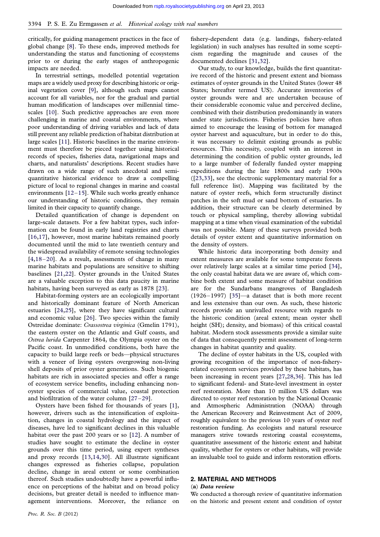critically, for guiding management practices in the face of global change [\[8](#page-7-0)]. To these ends, improved methods for understanding the status and functioning of ecosystems prior to or during the early stages of anthropogenic impacts are needed.

In terrestrial settings, modelled potential vegetation maps are a widely used proxy for describing historic or original vegetation cover [\[9](#page-7-0)], although such maps cannot account for all variables, nor for the gradual and partial human modification of landscapes over millennial timescales [[10\]](#page-7-0). Such predictive approaches are even more challenging in marine and coastal environments, where poor understanding of driving variables and lack of data still prevent any reliable prediction of habitat distribution at large scales [\[11\]](#page-7-0). Historic baselines in the marine environment must therefore be pieced together using historical records of species, fisheries data, navigational maps and charts, and naturalists' descriptions. Recent studies have drawn on a wide range of such anecdotal and semiquantitative historical evidence to draw a compelling picture of local to regional changes in marine and coastal environments [\[12](#page-7-0)–[15\]](#page-7-0). While such works greatly enhance our understanding of historic conditions, they remain limited in their capacity to quantify change.

Detailed quantification of change is dependent on large-scale datasets. For a few habitat types, such information can be found in early land registries and charts [\[16,17](#page-7-0)], however, most marine habitats remained poorly documented until the mid to late twentieth century and the widespread availability of remote sensing technologies [\[4,18](#page-7-0)–[20\]](#page-7-0). As a result, assessments of change in many marine habitats and populations are sensitive to shifting baselines [[21](#page-7-0),[22](#page-7-0)]. Oyster grounds in the United States are a valuable exception to this data paucity in marine habitats, having been surveyed as early as 1878 [[23](#page-7-0)].

Habitat-forming oysters are an ecologically important and historically dominant feature of North American estuaries [[24](#page-7-0),[25](#page-7-0)], where they have significant cultural and economic value [[26](#page-7-0)]. Two species within the family Ostreidae dominate: Crassostrea virginica (Gmelin 1791), the eastern oyster on the Atlantic and Gulf coasts, and Ostrea lurida Carpenter 1864, the Olympia oyster on the Pacific coast. In unmodified conditions, both have the capacity to build large reefs or beds—physical structures with a veneer of living oysters overgrowing non-living shell deposits of prior oyster generations. Such biogenic habitats are rich in associated species and offer a range of ecosystem service benefits, including enhancing nonoyster species of commercial value, coastal protection and biofiltration of the water column [\[27](#page-7-0)–[29\]](#page-8-0).

Oysters have been fished for thousands of years [\[1](#page-7-0)], however, drivers such as the intensification of exploitation, changes in coastal hydrology and the impact of diseases, have led to significant declines in this valuable habitat over the past 200 years or so [[12](#page-7-0)]. A number of studies have sought to estimate the decline in oyster grounds over this time period, using expert syntheses and proxy records [[13,14](#page-7-0)[,30](#page-8-0)]. All illustrate significant changes expressed as fisheries collapse, population decline, change in areal extent or some combination thereof. Such studies undoubtedly have a powerful influence on perceptions of the habitat and on broad policy decisions, but greater detail is needed to influence management interventions. Moreover, the reliance on

fishery-dependent data (e.g. landings, fishery-related legislation) in such analyses has resulted in some scepticism regarding the magnitude and causes of the documented declines [[31](#page-8-0),[32](#page-8-0)].

Our study, to our knowledge, builds the first quantitative record of the historic and present extent and biomass estimates of oyster grounds in the United States (lower 48 States; hereafter termed US). Accurate inventories of oyster grounds were and are undertaken because of their considerable economic value and perceived decline, combined with their distribution predominantly in waters under state jurisdictions. Fisheries policies have often aimed to encourage the leasing of bottom for managed oyster harvest and aquaculture, but in order to do this, it was necessary to delimit existing grounds as public resources. This necessity, coupled with an interest in determining the condition of public oyster grounds, led to a large number of federally funded oyster mapping expeditions during the late 1800s and early 1900s ([[23,](#page-7-0)[33\]](#page-8-0), see the electronic supplementary material for a full reference list). Mapping was facilitated by the nature of oyster reefs, which form structurally distinct patches in the soft mud or sand bottom of estuaries. In addition, their structure can be clearly determined by touch or physical sampling, thereby allowing subtidal mapping at a time when visual examination of the subtidal was not possible. Many of these surveys provided both details of oyster extent and quantitative information on the density of oysters.

While historic data incorporating both density and extent measures are available for some temperate forests over relatively large scales at a similar time period [[34](#page-8-0)], the only coastal habitat data we are aware of, which combine both extent and some measure of habitat condition are for the Sundarbans mangroves of Bangladesh (1926 –1997) [[35](#page-8-0)]—a dataset that is both more recent and less extensive than our own. As such, these historic records provide an unrivalled resource with regards to the historic condition (areal extent; mean oyster shell height (SH); density, and biomass) of this critical coastal habitat. Modern stock assessments provide a similar suite of data that consequently permit assessment of long-term changes in habitat quantity and quality.

The decline of oyster habitats in the US, coupled with growing recognition of the importance of non-fisheryrelated ecosystem services provided by these habitats, has been increasing in recent years [\[27,28](#page-7-0)[,36\]](#page-8-0). This has led to significant federal- and State-level investment in oyster reef restoration. More than 10 million US dollars was directed to oyster reef restoration by the National Oceanic and Atmospheric Administration (NOAA) through the American Recovery and Reinvestment Act of 2009, roughly equivalent to the previous 10 years of oyster reef restoration funding. As ecologists and natural resource managers strive towards restoring coastal ecosystems, quantitative assessment of the historic extent and habitat quality, whether for oysters or other habitats, will provide an invaluable tool to guide and inform restoration efforts.

# 2. MATERIAL AND METHODS

#### (a) Data review

We conducted a thorough review of quantitative information on the historic and present extent and condition of oyster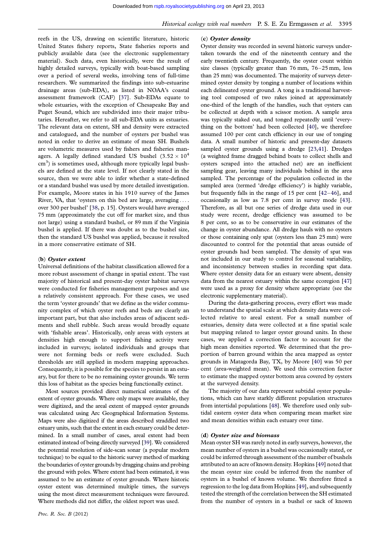reefs in the US, drawing on scientific literature, historic United States fishery reports, State fisheries reports and publicly available data (see the electronic supplementary material). Such data, even historically, were the result of highly detailed surveys, typically with boat-based sampling over a period of several weeks, involving tens of full-time researchers. We summarized the findings into sub-estuarine drainage areas (sub-EDA), as listed in NOAA's coastal assessment framework (CAF) [\[37](#page-8-0)]. Sub-EDAs equate to whole estuaries, with the exception of Chesapeake Bay and Puget Sound, which are subdivided into their major tributaries. Hereafter, we refer to all sub-EDA units as estuaries. The relevant data on extent, SH and density were extracted and catalogued, and the number of oysters per bushel was noted in order to derive an estimate of mean SH. Bushels are volumetric measures used by fishers and fisheries managers. A legally defined standard US bushel  $(3.52 \times 10^4$ cm<sup>3</sup>) is sometimes used, although more typically legal bushels are defined at the state level. If not clearly stated in the source, then we were able to infer whether a state-defined or a standard bushel was used by more detailed investigation. For example, Moore states in his 1910 survey of the James River, VA, that 'oysters on this bed are large, averaging ... . over 300 per bushel' [\[38](#page-8-0), p. 15]. Oysters would have averaged 75 mm (approximately the cut off for market size, and thus not large) using a standard bushel, or 89 mm if the Virginia bushel is applied. If there was doubt as to the bushel size, then the standard US bushel was applied, because it resulted in a more conservative estimate of SH.

#### (b) Oyster extent

Universal definitions of the habitat classification allowed for a more robust assessment of change in spatial extent. The vast majority of historical and present-day oyster habitat surveys were conducted for fisheries management purposes and use a relatively consistent approach. For these cases, we used the term 'oyster grounds' that we define as the wider community complex of which oyster reefs and beds are clearly an important part, but that also includes areas of adjacent sediments and shell rubble. Such areas would broadly equate with 'fishable areas'. Historically, only areas with oysters at densities high enough to support fishing activity were included in surveys; isolated individuals and groups that were not forming beds or reefs were excluded. Such thresholds are still applied in modern mapping approaches. Consequently, it is possible for the species to persist in an estuary, but for there to be no remaining oyster grounds. We term this loss of habitat as the species being functionally extinct.

Most sources provided direct numerical estimates of the extent of oyster grounds. Where only maps were available, they were digitized, and the areal extent of mapped oyster grounds was calculated using Arc Geographical Information Systems. Maps were also digitized if the areas described straddled two estuary units, such that the extent in each estuary could be determined. In a small number of cases, areal extent had been estimated instead of being directly surveyed [\[39](#page-8-0)]. We considered the potential resolution of side-scan sonar (a popular modern technique) to be equal to the historic survey method of marking the boundaries of oyster grounds by dragging chains and probing the ground with poles. Where extent had been estimated, it was assumed to be an estimate of oyster grounds. Where historic oyster extent was determined multiple times, the surveys using the most direct measurement techniques were favoured. Where methods did not differ, the oldest report was used.

#### (c) Oyster density

Oyster density was recorded in several historic surveys undertaken towards the end of the nineteenth century and the early twentieth century. Frequently, the oyster count within size classes (typically greater than 76 mm, 76–25 mm, less than 25 mm) was documented. The majority of surveys determined oyster density by tonging a number of locations within each delineated oyster ground. A tong is a traditional harvesting tool composed of two rakes joined at approximately one-third of the length of the handles, such that oysters can be collected at depth with a scissor motion. A sample area was typically staked out, and tonged repeatedly until 'everything on the bottom' had been collected [[40](#page-8-0)], we therefore assumed 100 per cent catch efficiency in our use of tonging data. A small number of historic and present-day datasets sampled oyster grounds using a dredge [\[23](#page-7-0),[41](#page-8-0)]. Dredges (a weighted frame dragged behind boats to collect shells and oysters scraped into the attached net) are an inefficient sampling gear, leaving many individuals behind in the area sampled. The percentage of the population collected in the sampled area (termed 'dredge efficiency') is highly variable, but frequently falls in the range of 15 per cent [\[42](#page-8-0)–[46](#page-8-0)], and occasionally as low as 7.8 per cent in survey mode [[43\]](#page-8-0). Therefore, as all but one series of dredge data used in our study were recent, dredge efficiency was assumed to be 8 per cent, so as to be conservative in our estimates of the change in oyster abundance. All dredge hauls with no oysters or those containing only spat (oysters less than 25 mm) were discounted to control for the potential that areas outside of oyster grounds had been sampled. The density of spat was not included in our study to control for seasonal variability, and inconsistency between studies in recording spat data. Where oyster density data for an estuary were absent, density data from the nearest estuary within the same ecoregion [\[47](#page-8-0)] were used as a proxy for density where appropriate (see the electronic supplementary material).

During the data-gathering process, every effort was made to understand the spatial scale at which density data were collected relative to areal extent. For a small number of estuaries, density data were collected at a fine spatial scale but mapping related to larger oyster ground units. In these cases, we applied a correction factor to account for the high mean densities reported. We determined that the proportion of barren ground within the area mapped as oyster grounds in Matagorda Bay, TX, by Moore [[40\]](#page-8-0) was 50 per cent (area-weighted mean). We used this correction factor to estimate the mapped oyster bottom area covered by oysters at the surveyed density.

The majority of our data represent subtidal oyster populations, which can have starkly different population structures from intertidal populations [[48\]](#page-8-0). We therefore used only subtidal eastern oyster data when comparing mean market size and mean densities within each estuary over time.

## (d) Oyster size and biomass

Mean oyster SH was rarely noted in early surveys, however, the mean number of oysters in a bushel was occasionally stated, or could be inferred through assessment of the number of bushels attributed to an acre of known density. Hopkins [[49\]](#page-8-0) noted that the mean oyster size could be inferred from the number of oysters in a bushel of known volume. We therefore fitted a regression to the log data from Hopkins [[49](#page-8-0)], and subsequently tested the strength of the correlation between the SH estimated from the number of oysters in a bushel or sack of known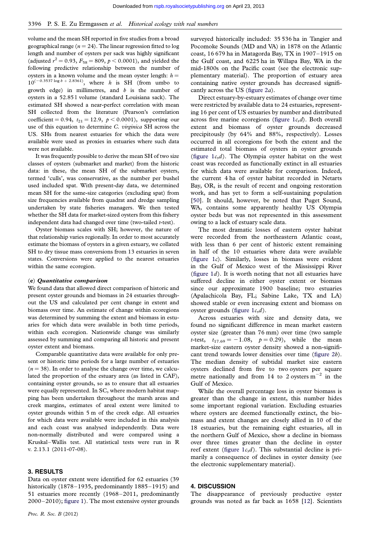volume and the mean SH reported in five studies from a broad geographical range ( $n = 24$ ). The linear regression fitted to log length and number of oysters per sack was highly significant (adjusted  $r^2 = 0.93$ ,  $F_{58} = 809$ ,  $p < 0.0001$ ), and yielded the following predictive relationship between the number of oysters in a known volume and the mean oyster length:  $h =$  $10^{(-0.3537 \log b + 2.8361)}$ , where h is SH (from umbo to growth edge) in millimetres, and  $b$  is the number of oysters in a 52.85 l volume (standard Louisiana sack). The estimated SH showed a near-perfect correlation with mean SH collected from the literature (Pearson's correlation coefficient = 0.94,  $t_{21} = 12.9$ ,  $p < 0.0001$ ), supporting our use of this equation to determine C. virginica SH across the US. SHs from nearest estuaries for which the data were available were used as proxies in estuaries where such data were not available.

It was frequently possible to derive the mean SH of two size classes of oysters (submarket and market) from the historic data: in these, the mean SH of the submarket oysters, termed 'culls', was conservative, as the number per bushel used included spat. With present-day data, we determined mean SH for the same-size categories (excluding spat) from size frequencies available from quadrat and dredge sampling undertaken by state fisheries managers. We then tested whether the SH data for market-sized oysters from this fishery independent data had changed over time (two-tailed  $t$ -test).

Oyster biomass scales with SH; however, the nature of that relationship varies regionally. In order to most accurately estimate the biomass of oysters in a given estuary, we collated SH to dry tissue mass conversions from 13 estuaries in seven states. Conversions were applied to the nearest estuaries within the same ecoregion.

#### (e) Quantitative comparison

We found data that allowed direct comparison of historic and present oyster grounds and biomass in 24 estuaries throughout the US and calculated per cent change in extent and biomass over time. An estimate of change within ecoregions was determined by summing the extent and biomass in estuaries for which data were available in both time periods, within each ecoregion. Nationwide change was similarly assessed by summing and comparing all historic and present oyster extent and biomass.

Comparable quantitative data were available for only present or historic time periods for a large number of estuaries  $(n = 38)$ . In order to analyse the change over time, we calculated the proportion of the estuary area (as listed in CAF), containing oyster grounds, so as to ensure that all estuaries were equally represented. In SC, where modern habitat mapping has been undertaken throughout the marsh areas and creek margins, estimates of areal extent were limited to oyster grounds within 5 m of the creek edge. All estuaries for which data were available were included in this analysis and each coast was analysed independently. Data were non-normally distributed and were compared using a Kruskal–Wallis test. All statistical tests were run in R v. 2.13.1 (2011-07-08).

#### 3. RESULTS

Data on oyster extent were identified for 62 estuaries (39 historically (1878–1935, predominantly 1885–1915) and 51 estuaries more recently (1968–2011, predominantly 2000–2010); [figure 1\)](#page-5-0). The most extensive oyster grounds

surveyed historically included: 35 536 ha in Tangier and Pocomoke Sounds (MD and VA) in 1878 on the Atlantic coast, 16 679 ha in Matagorda Bay, TX in 1907–1915 on the Gulf coast, and 6225 ha in Willapa Bay, WA in the mid-1800s on the Pacific coast (see the electronic supplementary material). The proportion of estuary area containing native oyster grounds has decreased significantly across the US [\(figure 2](#page-5-0)a).

Direct estuary-by-estuary estimates of change over time were restricted by available data to 24 estuaries, representing 16 per cent of US estuaries by number and distributed across five marine ecoregions (figure  $1c,d$ ). Both overall extent and biomass of oyster grounds decreased precipitously (by 64% and 88%, respectively). Losses occurred in all ecoregions for both the extent and the estimated total biomass of oysters in oyster grounds (figure  $1c,d$ ). The Olympia oyster habitat on the west coast was recorded as functionally extinct in all estuaries for which data were available for comparison. Indeed, the current 4 ha of oyster habitat recorded in Netarts Bay, OR, is the result of recent and ongoing restoration work, and has yet to form a self-sustaining population [\[50\]](#page-8-0). It should, however, be noted that Puget Sound, WA, contains some apparently healthy US Olympia oyster beds but was not represented in this assessment owing to a lack of estuary scale data.

The most dramatic losses of eastern oyster habitat were recorded from the northeastern Atlantic coast, with less than 6 per cent of historic extent remaining in half of the 10 estuaries where data were available (figure  $1c$ ). Similarly, losses in biomass were evident in the Gulf of Mexico west of the Mississippi River (figure  $1d$ ). It is worth noting that not all estuaries have suffered decline in either oyster extent or biomass since our approximate 1900 baseline; two estuaries (Apalachicola Bay, FL; Sabine Lake, TX and LA) showed stable or even increasing extent and biomass on oyster grounds (figure  $1c,d$ ).

Across estuaries with size and density data, we found no significant difference in mean market eastern oyster size (greater than 76 mm) over time (two sample *t*-test,  $t_{17.69} = -1.08$ ,  $p = 0.29$ ), while the mean market-size eastern oyster density showed a non-significant trend towards lower densities over time [\(figure 2](#page-5-0)b). The median density of subtidal market size eastern oysters declined from five to two oysters per square metre nationally and from 14 to 2 oysters  $m^{-2}$  in the Gulf of Mexico.

While the overall percentage loss in oyster biomass is greater than the change in extent, this number hides some important regional variation. Excluding estuaries where oysters are deemed functionally extinct, the biomass and extent changes are closely allied in 10 of the 18 estuaries, but the remaining eight estuaries, all in the northern Gulf of Mexico, show a decline in biomass over three times greater than the decline in oyster reef extent (figure  $1c,d$ ). This substantial decline is primarily a consequence of declines in oyster density (see the electronic supplementary material).

## 4. DISCUSSION

The disappearance of previously productive oyster grounds was noted as far back as 1658 [[12](#page-7-0)]. Scientists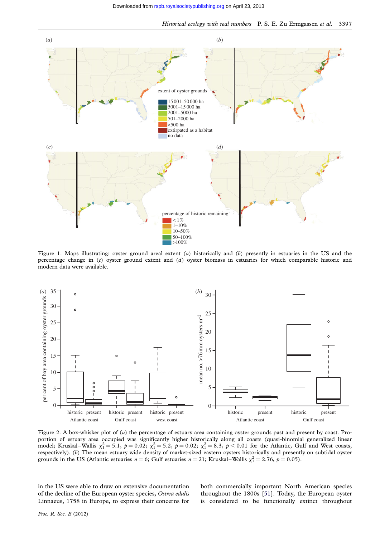<span id="page-5-0"></span>

Figure 1. Maps illustrating: oyster ground areal extent  $(a)$  historically and  $(b)$  presently in estuaries in the US and the percentage change in (c) oyster ground extent and (d) oyster biomass in estuaries for which comparable historic and modern data were available.



Figure 2. A box-whisker plot of (a) the percentage of estuary area containing oyster grounds past and present by coast. Proportion of estuary area occupied was significantly higher historically along all coasts (quasi-binomial generalized linear model; Kruskal–Wallis  $\chi_1^2 = 5.1$ ,  $p = 0.02$ ;  $\chi_1^2 = 5.2$ ,  $p = 0.02$ ;  $\chi_1^2 = 8.3$ ,  $p < 0.01$  for the Atlantic, Gulf and West coasts, respectively). (b) The mean estuary wide density of market-sized eastern oysters historically and presently on subtidal oyster grounds in the US (Atlantic estuaries  $n = 6$ ; Gulf estuaries  $n = 21$ ; Kruskal–Wallis  $\chi_1^2 = 2.76$ ,  $p = 0.05$ ).

in the US were able to draw on extensive documentation of the decline of the European oyster species, Ostrea edulis Linnaeus, 1758 in Europe, to express their concerns for both commercially important North American species throughout the 1800s [[51](#page-8-0)]. Today, the European oyster is considered to be functionally extinct throughout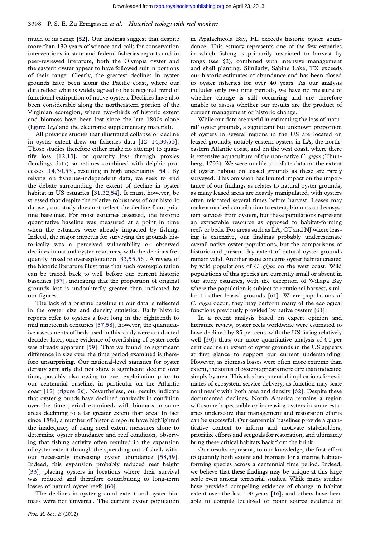much of its range [\[52\]](#page-8-0). Our findings suggest that despite more than 130 years of science and calls for conservation interventions in state and federal fisheries reports and in peer-reviewed literature, both the Olympia oyster and the eastern oyster appear to have followed suit in portions of their range. Clearly, the greatest declines in oyster grounds have been along the Pacific coast, where our data reflect what is widely agreed to be a regional trend of functional extirpation of native oysters. Declines have also been considerable along the northeastern portion of the Virginian ecoregion, where two-thirds of historic extent and biomass have been lost since the late 1800s alone (figure  $1c,d$  and the electronic supplementary material).

All previous studies that illustrated collapse or decline in oyster extent drew on fisheries data [\[12](#page-7-0)–[14,](#page-7-0)[30](#page-8-0),[53](#page-8-0)]. Those studies therefore either make no attempt to quantify loss [\[12,13](#page-7-0)], or quantify loss through proxies (landings data) sometimes combined with delphic processes [[14](#page-7-0),[30,53\]](#page-8-0), resulting in high uncertainty [\[54\]](#page-8-0). By relying on fisheries-independent data, we seek to end the debate surrounding the extent of decline in oyster habitat in US estuaries [\[31,32,54](#page-8-0)]. It must, however, be stressed that despite the relative robustness of our historic dataset, our study does not reflect the decline from pristine baselines. For most estuaries assessed, the historic quantitative baseline was measured at a point in time when the estuaries were already impacted by fishing. Indeed, the major impetus for surveying the grounds historically was a perceived vulnerability or observed declines in natural oyster resources, with the declines frequently linked to overexploitation [\[33,55](#page-8-0),[56](#page-8-0)]. A review of the historic literature illustrates that such overexploitation can be traced back to well before our current historic baselines [[57](#page-8-0)], indicating that the proportion of original grounds lost is undoubtedly greater than indicated by our figures.

The lack of a pristine baseline in our data is reflected in the oyster size and density statistics. Early historic reports refer to oysters a foot long in the eighteenth to mid nineteenth centuries [[57](#page-8-0),[58](#page-8-0)], however, the quantitative assessments of beds used in this study were conducted decades later, once evidence of overfishing of oyster reefs was already apparent [[59](#page-8-0)]. That we found no significant difference in size over the time period examined is therefore unsurprising. Our national-level statistics for oyster density similarly did not show a significant decline over time, possibly also owing to over exploitation prior to our centennial baseline, in particular on the Atlantic coast [\[12\]](#page-7-0) ([figure 2](#page-5-0)b). Nevertheless, our results indicate that oyster grounds have declined markedly in condition over the time period examined, with biomass in some areas declining to a far greater extent than area. In fact since 1884, a number of historic reports have highlighted the inadequacy of using areal extent measures alone to determine oyster abundance and reef condition, observing that fishing activity often resulted in the expansion of oyster extent through the spreading out of shell, without necessarily increasing oyster abundance [[58](#page-8-0),[59](#page-8-0)]. Indeed, this expansion probably reduced reef height [\[33\]](#page-8-0), placing oysters in locations where their survival was reduced and therefore contributing to long-term losses of natural oyster reefs [[60](#page-8-0)].

The declines in oyster ground extent and oyster biomass were not universal. The current oyster population in Apalachicola Bay, FL exceeds historic oyster abundance. This estuary represents one of the few estuaries in which fishing is primarily restricted to harvest by tongs (see §2), combined with intensive management and shell planting. Similarly, Sabine Lake, TX exceeds our historic estimates of abundance and has been closed to oyster fisheries for over 40 years. As our analysis includes only two time periods, we have no measure of whether change is still occurring and are therefore unable to assess whether our results are the product of current management or historic change.

While our data are useful in estimating the loss of 'natural' oyster grounds, a significant but unknown proportion of oysters in several regions in the US are located on leased grounds, notably eastern oysters in LA, the northeastern Atlantic coast, and on the west coast, where there is extensive aquaculture of the non-native C. gigas (Thunberg, 1793). We were unable to collate data on the extent of oyster habitat on leased grounds as these are rarely surveyed. This omission has limited impact on the importance of our findings as relates to natural oyster grounds, as many leased areas are heavily manipulated, with oysters often relocated several times before harvest. Leases may make a marked contribution to extent, biomass and ecosystem services from oysters, but these populations represent an extractable resource as opposed to habitat-forming reefs or beds. For areas such as LA, CTand NJ where leasing is extensive, our findings probably underestimate overall native oyster populations, but the comparisons of historic and present-day extent of natural oyster grounds remain valid. Another issue concerns oyster habitat created by wild populations of C. gigas on the west coast. Wild populations of this species are currently small or absent in our study estuaries, with the exception of Willapa Bay where the population is subject to rotational harvest, similar to other leased grounds [[61](#page-8-0)]. Where populations of C. gigas occur, they may perform many of the ecological functions previously provided by native oysters [[61\]](#page-8-0).

In a recent analysis based on expert opinion and literature review, oyster reefs worldwide were estimated to have declined by 85 per cent, with the US faring relatively well [\[30\]](#page-8-0); thus, our more quantitative analysis of 64 per cent decline in extent of oyster grounds in the US appears at first glance to support our current understanding. However, as biomass losses were often more extreme than extent, the status of oysters appears more dire than indicated simply by area. This also has potential implications for estimates of ecosystem service delivery, as function may scale nonlinearly with both area and density [[62\]](#page-8-0). Despite these documented declines, North America remains a region with some hope; stable or increasing oysters in some estuaries underscore that management and restoration efforts can be successful. Our centennial baselines provide a quantitative context to inform and motivate stakeholders, prioritize efforts and set goals for restoration, and ultimately bring these critical habitats back from the brink.

Our results represent, to our knowledge, the first effort to quantify both extent and biomass for a marine habitatforming species across a centennial time period. Indeed, we believe that these findings may be unique at this large scale even among terrestrial studies. While many studies have provided compelling evidence of change in habitat extent over the last 100 years [\[16\]](#page-7-0), and others have been able to compile localized or point source evidence of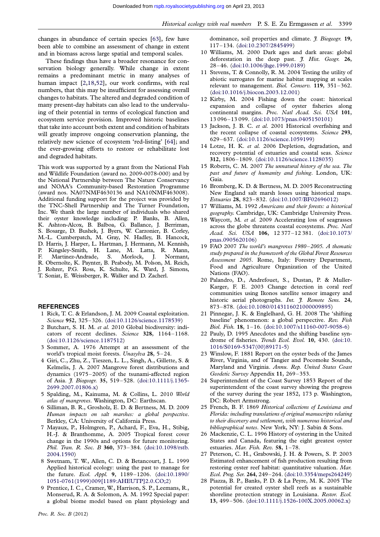<span id="page-7-0"></span>changes in abundance of certain species [[63\]](#page-8-0), few have been able to combine an assessment of change in extent and in biomass across large spatial and temporal scales.

These findings thus have a broader resonance for conservation biology generally. While change in extent remains a predominant metric in many analyses of human impact [2,18,[52\]](#page-8-0), our work confirms, with real numbers, that this may be insufficient for assessing overall changes to habitats. The altered and degraded condition of many present-day habitats can also lead to the undervaluing of their potential in terms of ecological function and ecosystem service provision. Improved historic baselines that take into account both extent and condition of habitats will greatly improve ongoing conservation planning, the relatively new science of ecosystem 'red-listing' [\[64\]](#page-8-0); and the ever-growing efforts to restore or rehabilitate lost and degraded habitats.

This work was supported by a grant from the National Fish and Wildlife Foundation (award no. 2009-0078-000) and by the National Partnership between The Nature Conservancy and NOAA's Community-based Restoration Programme (award nos. NA07NMF4630136 and NA10NMF463008). Additional funding support for the project was provided by the TNC-Shell Partnership and The Turner Foundation, Inc. We thank the large number of individuals who shared their oyster knowledge including: P. Banks, B. Allen, K. Ashton-Alcox, B. Balboa, G. Ballance, J. Berriman, S. Bosarge, D. Bushek, J. Byers, W. Carzonier, B. Corley, M.-L. Cumberpatch, M. Gray, N. Hadley, B. Hancock, D. Harris, J. Harper, L. Hartman, J. Hermann, M. Kennish, P. Kingsley-Smith, H. Lane, M. Latta, R. Mann, F. Martinez-Andrade, S. Morlock, J. Normant, R. Obernolte, K. Paynter, B. Peabody, M. Polson, M. Reich, J. Rohrer, P.G. Ross, K. Schulte, K. Ward, J. Simons, T. Soniat, E. Weissberger, R. Walker and D. Zacherl.

### **REFERENCES**

- 1 Rick, T. C. & Erlandson, J. M. 2009 Coastal exploitation. Science 952, 325–326. ([doi:10.1126/science.1178539](http://dx.doi.org/10.1126/science.1178539))
- 2 Butchart, S. H. M. et al. 2010 Global biodiversity: indicators of recent declines. Science 328, 1164-1168. ([doi:10.1126/science.1187512](http://dx.doi.org/10.1126/science.1187512))
- 3 Sommer, A. 1976 Attempt at an assessment of the world's tropical moist forests. Unasylva 28, 5 –24.
- 4 Giri, C., Zhu, Z., Tieszen, L. L., Singh, A., Gillette, S. & Kelmelis, J. A. 2007 Mangrove forest distributions and dynamics (1975–2005) of the tsunami-affected region of Asia. J. Biogeogr. 35, 519-528. [\(doi:10.1111/j.1365-](http://dx.doi.org/10.1111/j.1365-2699.2007.01806.x) [2699.2007.01806.x](http://dx.doi.org/10.1111/j.1365-2699.2007.01806.x))
- 5 Spalding, M., Kainuma, M. & Collins, L. 2010 World atlas of mangroves. Washington, DC: Earthscan.
- 6 Silliman, B. R., Grosholz, E. D. & Bertness, M. D. 2009 Human impacts on salt marshes: a global perspective. Berkley, CA: University of California Press.
- 7 Mayaux, P., Holmgren, P., Achard, F., Eva, H., Stibig, H.-J. & Branthomme, A. 2005 Tropical forest cover change in the 1990s and options for future monitoring. Phil. Tran. R. Soc. B 360, 373-384. [\(doi:10.1098/rstb.](http://dx.doi.org/10.1098/rstb.2004.1590) [2004.1590\)](http://dx.doi.org/10.1098/rstb.2004.1590)
- 8 Swetnam, T. W., Allen, C. D. & Betancourt, J. L. 1999 Applied historical ecology: using the past to manage for the future. Ecol. Appl. 9, 1189–1206. ([doi:10.1890/](http://dx.doi.org/10.1890/1051-0761(1999)009[1189:AHEUTP]2.0.CO;2) [1051-0761\(1999\)009\[1189:AHEUTP\]2.0.CO;2\)](http://dx.doi.org/10.1890/1051-0761(1999)009[1189:AHEUTP]2.0.CO;2)
- 9 Prentice, I. C., Cramer, W., Harrison, S. P., Leemans, R., Monserud, R. A. & Solomon, A. M. 1992 Special paper: a global biome model based on plant physiology and

Proc. R. Soc. B (2012)

dominance, soil properties and climate. J. Biogeogr. 19, 117 –134. ([doi:10.2307/2845499](http://dx.doi.org/10.2307/2845499))

- 10 Williams, M. 2000 Dark ages and dark areas: global deforestation in the deep past.  $J. H$ ist. Geogr. 26, 28–46. [\(doi:10.1006/jhge.1999.0189](http://dx.doi.org/10.1006/jhge.1999.0189))
- 11 Stevens, T. & Connolly, R. M. 2004 Testing the utility of abiotic surrogates for marine habitat mapping at scales relevant to management. Biol. Conserv. 119, 351-362. [\(doi:10.1016/j.biocon.2003.12.001\)](http://dx.doi.org/10.1016/j.biocon.2003.12.001)
- 12 Kirby, M. 2004 Fishing down the coast: historical expansion and collapse of oyster fisheries along continental margins. Proc. Natl Acad. Sci. USA 101, 13 096 –13 099. ([doi:10.1073/pnas.0405150101\)](http://dx.doi.org/10.1073/pnas.0405150101)
- 13 Jackson, J. B. C. et al. 2001 Historical overfishing and the recent collapse of coastal ecosystems. Science 293, 629 –637. [\(doi:10.1126/science.1059199\)](http://dx.doi.org/10.1126/science.1059199)
- 14 Lotze, H. K. et al. 2006 Depletion, degradation, and recovery potential of estuaries and coastal seas. Science 312, 1806–1809. ([doi:10.1126/science.1128035](http://dx.doi.org/10.1126/science.1128035))
- 15 Roberts, C. M. 2007 The unnatural history of the sea. The past and future of humanity and fishing. London, UK: Gaia.
- 16 Bromberg, K. D. & Bertness, M. D. 2005 Reconstructing New England salt marsh losses using historical maps. Estuaries 28, 823–832. [\(doi:10.1007/BF02696012](http://dx.doi.org/10.1007/BF02696012))
- 17 Williams, M. 1992 Americans and their forests: a historical geography. Cambridge, UK: Cambridge University Press.
- 18 Waycott, M. et al. 2009 Accelerating loss of seagrasses across the globe threatens coastal ecosystems. Proc. Natl Acad. Sci. USA 106, 12 377 –12 381. ([doi:10.1073/](http://dx.doi.org/10.1073/pnas.0905620106) [pnas.0905620106](http://dx.doi.org/10.1073/pnas.0905620106))
- 19 FAO 2007 The world's mangroves 1980– 2005. A thematic study prepared in the framework of the Global Forest Resources Assessment 2005. Rome, Italy: Forestry Department, Food and Agriculture Organization of the United Nations (FAO).
- 20 Palandro, D., Andrefouet, S., Dustan, P. & Muller-Karger, F. E. 2003 Change detection in coral reef communities using Ikonos satellite sensor imagery and historic aerial photographs. Int. J. Remote Sens. 24, 873 –878. [\(doi:10.1080/0143116021000009895](http://dx.doi.org/10.1080/0143116021000009895))
- 21 Pinnegar, J. K. & Englelhard, G. H. 2008 The 'shifting baseline' phenomenon: a global perspective. Rev. Fish Biol. Fish. 18, 1–16. ([doi:10.1007/s11160-007-9058-6\)](http://dx.doi.org/10.1007/s11160-007-9058-6)
- 22 Pauly, D. 1995 Anecdotes and the shifting baseline syndrome of fisheries. Trends Ecol. Evol. 10, 430. ([doi:10.](http://dx.doi.org/10.1016/S0169-5347(00)89171-5) [1016/S0169-5347\(00\)89171-5\)](http://dx.doi.org/10.1016/S0169-5347(00)89171-5)
- 23 Winslow, F. 1881 Report on the oyster beds of the James River, Virginia, and of Tangier and Pocomoke Sounds, Maryland and Virginia. Annu. Rep. United States Coast Geodetic Survey Appendix 11, 269–353.
- 24 Superintendent of the Coast Survey 1853 Report of the superintendent of the coast survey showing the progress of the survey during the year 1852, 173 p. Washington, DC: Robert Armstrong.
- 25 French, B. F. 1869 Historical collections of Louisiana and Florida: including translations of original manuscripts relating to their discovery and settlement, with numerous historical and bibliographical notes. New York, NY: J. Sabin & Sons.
- 26 Mackenzie, C. L. 1996 History of oystering in the United States and Canada, featuring the eight greatest oyster estuaries. Mar. Fish. Rev. 58, 1–78.
- 27 Peterson, C. H., Grabowski, J. H. & Powers, S. P. 2003 Estimated enhancement of fish production resulting from restoring oyster reef habitat: quantitative valuation. Mar. Ecol. Prog. Ser. 264, 249–264. [\(doi:10.3354/meps264249](http://dx.doi.org/10.3354/meps264249))
- 28 Piazza, B. P., Banks, P. D. & La Peyre, M. K. 2005 The potential for created oyster shell reefs as a sustainable shoreline protection strategy in Louisiana. Restor. Ecol. 13, 499–506. [\(doi:10.1111/j.1526-100X.2005.00062.x](http://dx.doi.org/10.1111/j.1526-100X.2005.00062.x))